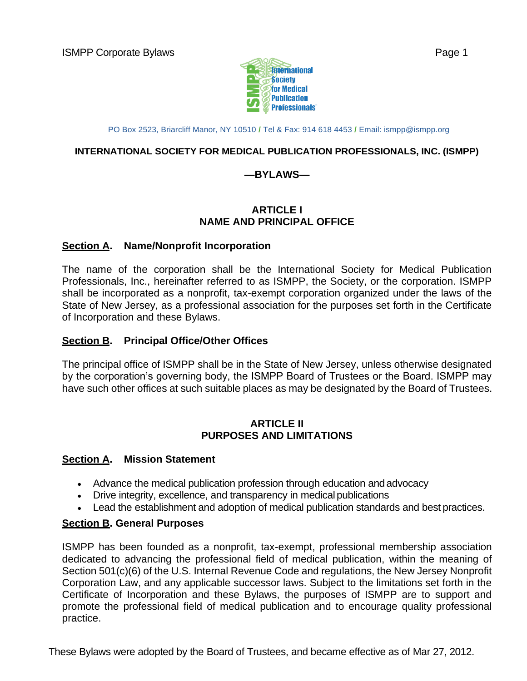

PO Box 2523, Briarcliff Manor, NY 10510 **/** Tel & Fax: 914 618 4453 **/** Email: [ismpp@ismpp.org](mailto:ismpp@ismpp.org)

#### **INTERNATIONAL SOCIETY FOR MEDICAL PUBLICATION PROFESSIONALS, INC. (ISMPP)**

#### **—BYLAWS—**

#### **ARTICLE I NAME AND PRINCIPAL OFFICE**

#### **Section A. Name/Nonprofit Incorporation**

The name of the corporation shall be the International Society for Medical Publication Professionals, Inc., hereinafter referred to as ISMPP, the Society, or the corporation. ISMPP shall be incorporated as a nonprofit, tax-exempt corporation organized under the laws of the State of New Jersey, as a professional association for the purposes set forth in the Certificate of Incorporation and these Bylaws.

#### **Section B. Principal Office/Other Offices**

The principal office of ISMPP shall be in the State of New Jersey, unless otherwise designated by the corporation's governing body, the ISMPP Board of Trustees or the Board. ISMPP may have such other offices at such suitable places as may be designated by the Board of Trustees.

#### **ARTICLE II PURPOSES AND LIMITATIONS**

#### **Section A. Mission Statement**

- Advance the medical publication profession through education and advocacy
- Drive integrity, excellence, and transparency in medical publications
- Lead the establishment and adoption of medical publication standards and best practices.

#### **Section B. General Purposes**

ISMPP has been founded as a nonprofit, tax-exempt, professional membership association dedicated to advancing the professional field of medical publication, within the meaning of Section 501(c)(6) of the U.S. Internal Revenue Code and regulations, the New Jersey Nonprofit Corporation Law, and any applicable successor laws. Subject to the limitations set forth in the Certificate of Incorporation and these Bylaws, the purposes of ISMPP are to support and promote the professional field of medical publication and to encourage quality professional practice.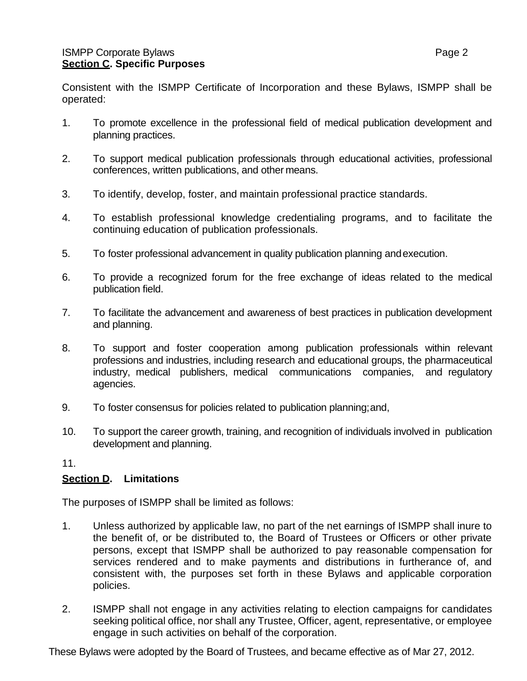Consistent with the ISMPP Certificate of Incorporation and these Bylaws, ISMPP shall be operated:

- 1. To promote excellence in the professional field of medical publication development and planning practices.
- 2. To support medical publication professionals through educational activities, professional conferences, written publications, and other means.
- 3. To identify, develop, foster, and maintain professional practice standards.
- 4. To establish professional knowledge credentialing programs, and to facilitate the continuing education of publication professionals.
- 5. To foster professional advancement in quality publication planning andexecution.
- 6. To provide a recognized forum for the free exchange of ideas related to the medical publication field.
- 7. To facilitate the advancement and awareness of best practices in publication development and planning.
- 8. To support and foster cooperation among publication professionals within relevant professions and industries, including research and educational groups, the pharmaceutical industry, medical publishers, medical communications companies, and regulatory agencies.
- 9. To foster consensus for policies related to publication planning;and,
- 10. To support the career growth, training, and recognition of individuals involved in publication development and planning.

#### 11.

#### **Section D. Limitations**

The purposes of ISMPP shall be limited as follows:

- 1. Unless authorized by applicable law, no part of the net earnings of ISMPP shall inure to the benefit of, or be distributed to, the Board of Trustees or Officers or other private persons, except that ISMPP shall be authorized to pay reasonable compensation for services rendered and to make payments and distributions in furtherance of, and consistent with, the purposes set forth in these Bylaws and applicable corporation policies.
- 2. ISMPP shall not engage in any activities relating to election campaigns for candidates seeking political office, nor shall any Trustee, Officer, agent, representative, or employee engage in such activities on behalf of the corporation.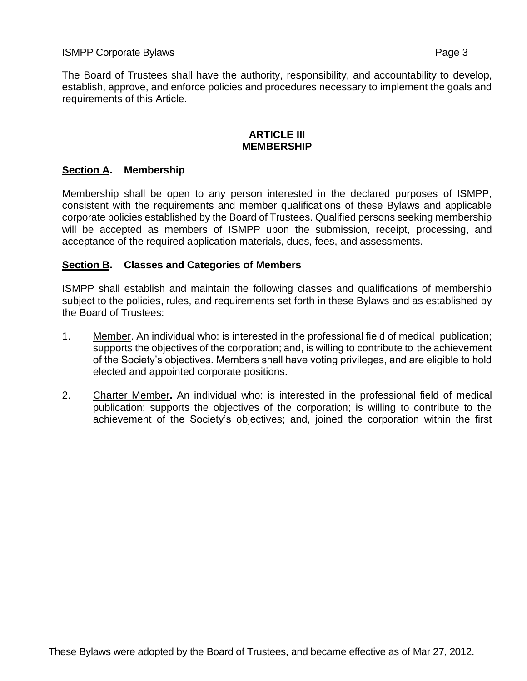The Board of Trustees shall have the authority, responsibility, and accountability to develop, establish, approve, and enforce policies and procedures necessary to implement the goals and requirements of this Article.

#### **ARTICLE III MEMBERSHIP**

# **Section A. Membership**

Membership shall be open to any person interested in the declared purposes of ISMPP, consistent with the requirements and member qualifications of these Bylaws and applicable corporate policies established by the Board of Trustees. Qualified persons seeking membership will be accepted as members of ISMPP upon the submission, receipt, processing, and acceptance of the required application materials, dues, fees, and assessments.

## **Section B. Classes and Categories of Members**

ISMPP shall establish and maintain the following classes and qualifications of membership subject to the policies, rules, and requirements set forth in these Bylaws and as established by the Board of Trustees:

- 1. Member. An individual who: is interested in the professional field of medical publication; supports the objectives of the corporation; and, is willing to contribute to the achievement of the Society's objectives. Members shall have voting privileges, and are eligible to hold elected and appointed corporate positions.
- 2. Charter Member**.** An individual who: is interested in the professional field of medical publication; supports the objectives of the corporation; is willing to contribute to the achievement of the Society's objectives; and, joined the corporation within the first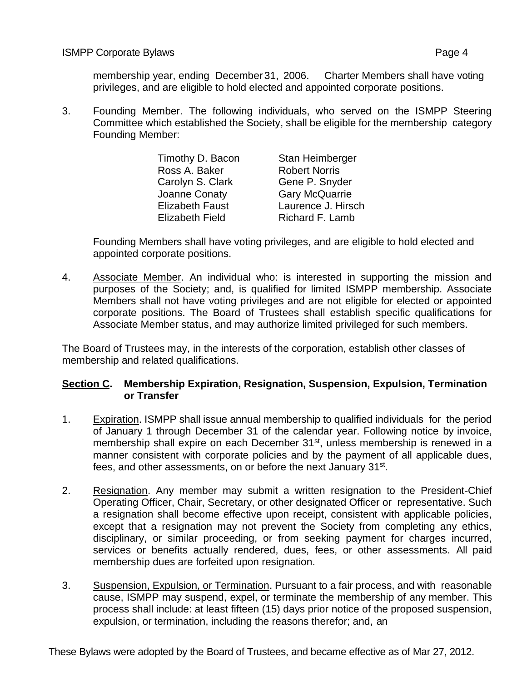membership year, ending December 31, 2006. Charter Members shall have voting privileges, and are eligible to hold elected and appointed corporate positions.

3. Founding Member. The following individuals, who served on the ISMPP Steering Committee which established the Society, shall be eligible for the membership category Founding Member:

| Timothy D. Bacon       | Stan Heimberger       |
|------------------------|-----------------------|
| Ross A. Baker          | <b>Robert Norris</b>  |
| Carolyn S. Clark       | Gene P. Snyder        |
| Joanne Conaty          | <b>Gary McQuarrie</b> |
| <b>Elizabeth Faust</b> | Laurence J. Hirsch    |
| <b>Elizabeth Field</b> | Richard F. Lamb       |

Founding Members shall have voting privileges, and are eligible to hold elected and appointed corporate positions.

4. Associate Member. An individual who: is interested in supporting the mission and purposes of the Society; and, is qualified for limited ISMPP membership. Associate Members shall not have voting privileges and are not eligible for elected or appointed corporate positions. The Board of Trustees shall establish specific qualifications for Associate Member status, and may authorize limited privileged for such members.

The Board of Trustees may, in the interests of the corporation, establish other classes of membership and related qualifications.

#### **Section C. Membership Expiration, Resignation, Suspension, Expulsion, Termination or Transfer**

- 1. Expiration. ISMPP shall issue annual membership to qualified individuals for the period of January 1 through December 31 of the calendar year. Following notice by invoice, membership shall expire on each December 31<sup>st</sup>, unless membership is renewed in a manner consistent with corporate policies and by the payment of all applicable dues, fees, and other assessments, on or before the next January 31<sup>st</sup>.
- 2. Resignation. Any member may submit a written resignation to the President-Chief Operating Officer, Chair, Secretary, or other designated Officer or representative. Such a resignation shall become effective upon receipt, consistent with applicable policies, except that a resignation may not prevent the Society from completing any ethics, disciplinary, or similar proceeding, or from seeking payment for charges incurred, services or benefits actually rendered, dues, fees, or other assessments. All paid membership dues are forfeited upon resignation.
- 3. Suspension, Expulsion, or Termination. Pursuant to a fair process, and with reasonable cause, ISMPP may suspend, expel, or terminate the membership of any member. This process shall include: at least fifteen (15) days prior notice of the proposed suspension, expulsion, or termination, including the reasons therefor; and, an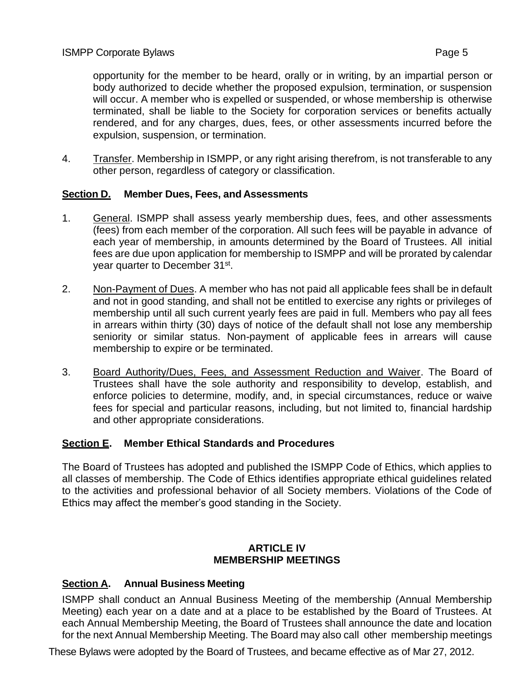opportunity for the member to be heard, orally or in writing, by an impartial person or body authorized to decide whether the proposed expulsion, termination, or suspension will occur. A member who is expelled or suspended, or whose membership is otherwise terminated, shall be liable to the Society for corporation services or benefits actually rendered, and for any charges, dues, fees, or other assessments incurred before the expulsion, suspension, or termination.

4. Transfer. Membership in ISMPP, or any right arising therefrom, is not transferable to any other person, regardless of category or classification.

## **Section D. Member Dues, Fees, and Assessments**

- 1. General. ISMPP shall assess yearly membership dues, fees, and other assessments (fees) from each member of the corporation. All such fees will be payable in advance of each year of membership, in amounts determined by the Board of Trustees. All initial fees are due upon application for membership to ISMPP and will be prorated by calendar year quarter to December 31<sup>st</sup>.
- 2. Non-Payment of Dues. A member who has not paid all applicable fees shall be in default and not in good standing, and shall not be entitled to exercise any rights or privileges of membership until all such current yearly fees are paid in full. Members who pay all fees in arrears within thirty (30) days of notice of the default shall not lose any membership seniority or similar status. Non-payment of applicable fees in arrears will cause membership to expire or be terminated.
- 3. Board Authority/Dues, Fees, and Assessment Reduction and Waiver. The Board of Trustees shall have the sole authority and responsibility to develop, establish, and enforce policies to determine, modify, and, in special circumstances, reduce or waive fees for special and particular reasons, including, but not limited to, financial hardship and other appropriate considerations.

#### **Section E. Member Ethical Standards and Procedures**

The Board of Trustees has adopted and published the ISMPP Code of Ethics, which applies to all classes of membership. The Code of Ethics identifies appropriate ethical guidelines related to the activities and professional behavior of all Society members. Violations of the Code of Ethics may affect the member's good standing in the Society.

#### **ARTICLE IV MEMBERSHIP MEETINGS**

## **Section A. Annual Business Meeting**

ISMPP shall conduct an Annual Business Meeting of the membership (Annual Membership Meeting) each year on a date and at a place to be established by the Board of Trustees. At each Annual Membership Meeting, the Board of Trustees shall announce the date and location for the next Annual Membership Meeting. The Board may also call other membership meetings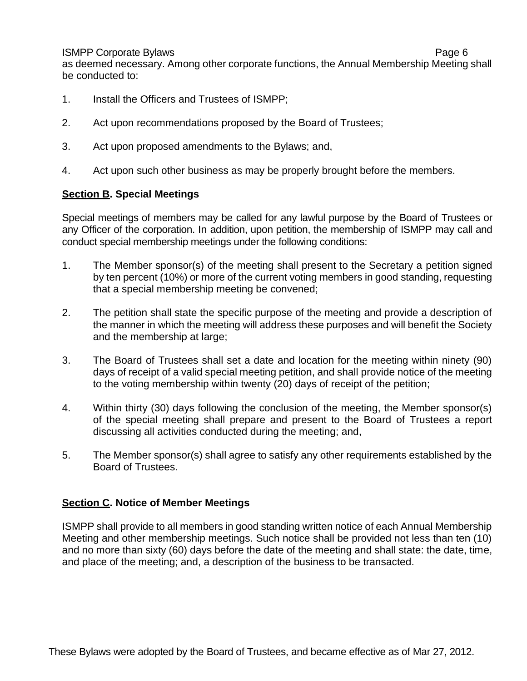as deemed necessary. Among other corporate functions, the Annual Membership Meeting shall be conducted to:

- 1. Install the Officers and Trustees of ISMPP;
- 2. Act upon recommendations proposed by the Board of Trustees;
- 3. Act upon proposed amendments to the Bylaws; and,
- 4. Act upon such other business as may be properly brought before the members.

## **Section B. Special Meetings**

Special meetings of members may be called for any lawful purpose by the Board of Trustees or any Officer of the corporation. In addition, upon petition, the membership of ISMPP may call and conduct special membership meetings under the following conditions:

- 1. The Member sponsor(s) of the meeting shall present to the Secretary a petition signed by ten percent (10%) or more of the current voting members in good standing, requesting that a special membership meeting be convened;
- 2. The petition shall state the specific purpose of the meeting and provide a description of the manner in which the meeting will address these purposes and will benefit the Society and the membership at large;
- 3. The Board of Trustees shall set a date and location for the meeting within ninety (90) days of receipt of a valid special meeting petition, and shall provide notice of the meeting to the voting membership within twenty (20) days of receipt of the petition;
- 4. Within thirty (30) days following the conclusion of the meeting, the Member sponsor(s) of the special meeting shall prepare and present to the Board of Trustees a report discussing all activities conducted during the meeting; and,
- 5. The Member sponsor(s) shall agree to satisfy any other requirements established by the Board of Trustees.

#### **Section C. Notice of Member Meetings**

ISMPP shall provide to all members in good standing written notice of each Annual Membership Meeting and other membership meetings. Such notice shall be provided not less than ten (10) and no more than sixty (60) days before the date of the meeting and shall state: the date, time, and place of the meeting; and, a description of the business to be transacted.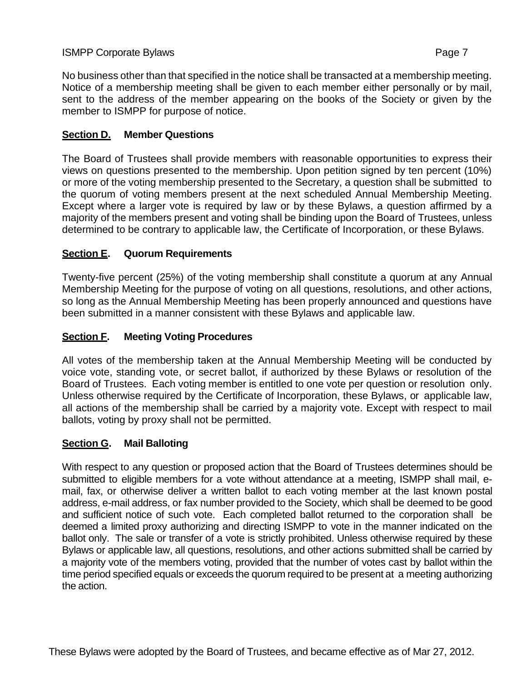No business other than that specified in the notice shall be transacted at a membership meeting. Notice of a membership meeting shall be given to each member either personally or by mail, sent to the address of the member appearing on the books of the Society or given by the member to ISMPP for purpose of notice.

## **Section D. Member Questions**

The Board of Trustees shall provide members with reasonable opportunities to express their views on questions presented to the membership. Upon petition signed by ten percent (10%) or more of the voting membership presented to the Secretary, a question shall be submitted to the quorum of voting members present at the next scheduled Annual Membership Meeting. Except where a larger vote is required by law or by these Bylaws, a question affirmed by a majority of the members present and voting shall be binding upon the Board of Trustees, unless determined to be contrary to applicable law, the Certificate of Incorporation, or these Bylaws.

# **Section E. Quorum Requirements**

Twenty-five percent (25%) of the voting membership shall constitute a quorum at any Annual Membership Meeting for the purpose of voting on all questions, resolutions, and other actions, so long as the Annual Membership Meeting has been properly announced and questions have been submitted in a manner consistent with these Bylaws and applicable law.

# **Section F. Meeting Voting Procedures**

All votes of the membership taken at the Annual Membership Meeting will be conducted by voice vote, standing vote, or secret ballot, if authorized by these Bylaws or resolution of the Board of Trustees. Each voting member is entitled to one vote per question or resolution only. Unless otherwise required by the Certificate of Incorporation, these Bylaws, or applicable law, all actions of the membership shall be carried by a majority vote. Except with respect to mail ballots, voting by proxy shall not be permitted.

## **Section G. Mail Balloting**

With respect to any question or proposed action that the Board of Trustees determines should be submitted to eligible members for a vote without attendance at a meeting, ISMPP shall mail, email, fax, or otherwise deliver a written ballot to each voting member at the last known postal address, e-mail address, or fax number provided to the Society, which shall be deemed to be good and sufficient notice of such vote. Each completed ballot returned to the corporation shall be deemed a limited proxy authorizing and directing ISMPP to vote in the manner indicated on the ballot only. The sale or transfer of a vote is strictly prohibited. Unless otherwise required by these Bylaws or applicable law, all questions, resolutions, and other actions submitted shall be carried by a majority vote of the members voting, provided that the number of votes cast by ballot within the time period specified equals or exceeds the quorum required to be present at a meeting authorizing the action.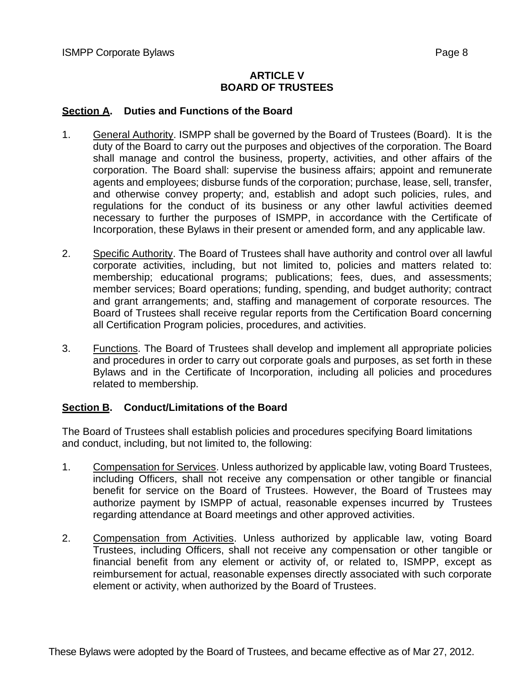## **ARTICLE V BOARD OF TRUSTEES**

## **Section A. Duties and Functions of the Board**

- 1. General Authority. ISMPP shall be governed by the Board of Trustees (Board). It is the duty of the Board to carry out the purposes and objectives of the corporation. The Board shall manage and control the business, property, activities, and other affairs of the corporation. The Board shall: supervise the business affairs; appoint and remunerate agents and employees; disburse funds of the corporation; purchase, lease, sell, transfer, and otherwise convey property; and, establish and adopt such policies, rules, and regulations for the conduct of its business or any other lawful activities deemed necessary to further the purposes of ISMPP, in accordance with the Certificate of Incorporation, these Bylaws in their present or amended form, and any applicable law.
- 2. Specific Authority. The Board of Trustees shall have authority and control over all lawful corporate activities, including, but not limited to, policies and matters related to: membership; educational programs; publications; fees, dues, and assessments; member services; Board operations; funding, spending, and budget authority; contract and grant arrangements; and, staffing and management of corporate resources. The Board of Trustees shall receive regular reports from the Certification Board concerning all Certification Program policies, procedures, and activities.
- 3. Functions. The Board of Trustees shall develop and implement all appropriate policies and procedures in order to carry out corporate goals and purposes, as set forth in these Bylaws and in the Certificate of Incorporation, including all policies and procedures related to membership.

## **Section B. Conduct/Limitations of the Board**

The Board of Trustees shall establish policies and procedures specifying Board limitations and conduct, including, but not limited to, the following:

- 1. Compensation for Services. Unless authorized by applicable law, voting Board Trustees, including Officers, shall not receive any compensation or other tangible or financial benefit for service on the Board of Trustees. However, the Board of Trustees may authorize payment by ISMPP of actual, reasonable expenses incurred by Trustees regarding attendance at Board meetings and other approved activities.
- 2. Compensation from Activities. Unless authorized by applicable law, voting Board Trustees, including Officers, shall not receive any compensation or other tangible or financial benefit from any element or activity of, or related to, ISMPP, except as reimbursement for actual, reasonable expenses directly associated with such corporate element or activity, when authorized by the Board of Trustees.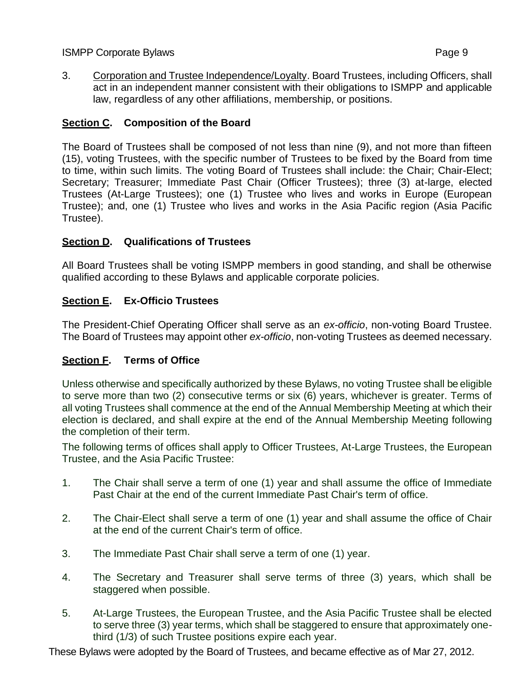3. Corporation and Trustee Independence/Loyalty. Board Trustees, including Officers, shall act in an independent manner consistent with their obligations to ISMPP and applicable law, regardless of any other affiliations, membership, or positions.

# **Section C. Composition of the Board**

The Board of Trustees shall be composed of not less than nine (9), and not more than fifteen (15), voting Trustees, with the specific number of Trustees to be fixed by the Board from time to time, within such limits. The voting Board of Trustees shall include: the Chair; Chair-Elect; Secretary; Treasurer; Immediate Past Chair (Officer Trustees); three (3) at-large, elected Trustees (At-Large Trustees); one (1) Trustee who lives and works in Europe (European Trustee); and, one (1) Trustee who lives and works in the Asia Pacific region (Asia Pacific Trustee).

## **Section D. Qualifications of Trustees**

All Board Trustees shall be voting ISMPP members in good standing, and shall be otherwise qualified according to these Bylaws and applicable corporate policies.

# **Section E. Ex-Officio Trustees**

The President-Chief Operating Officer shall serve as an *ex-officio*, non-voting Board Trustee. The Board of Trustees may appoint other *ex-officio*, non-voting Trustees as deemed necessary.

# **Section F. Terms of Office**

Unless otherwise and specifically authorized by these Bylaws, no voting Trustee shall be eligible to serve more than two (2) consecutive terms or six (6) years, whichever is greater. Terms of all voting Trustees shall commence at the end of the Annual Membership Meeting at which their election is declared, and shall expire at the end of the Annual Membership Meeting following the completion of their term.

The following terms of offices shall apply to Officer Trustees, At-Large Trustees, the European Trustee, and the Asia Pacific Trustee:

- 1. The Chair shall serve a term of one (1) year and shall assume the office of Immediate Past Chair at the end of the current Immediate Past Chair's term of office.
- 2. The Chair-Elect shall serve a term of one (1) year and shall assume the office of Chair at the end of the current Chair's term of office.
- 3. The Immediate Past Chair shall serve a term of one (1) year.
- 4. The Secretary and Treasurer shall serve terms of three (3) years, which shall be staggered when possible.
- 5. At-Large Trustees, the European Trustee, and the Asia Pacific Trustee shall be elected to serve three (3) year terms, which shall be staggered to ensure that approximately onethird (1/3) of such Trustee positions expire each year.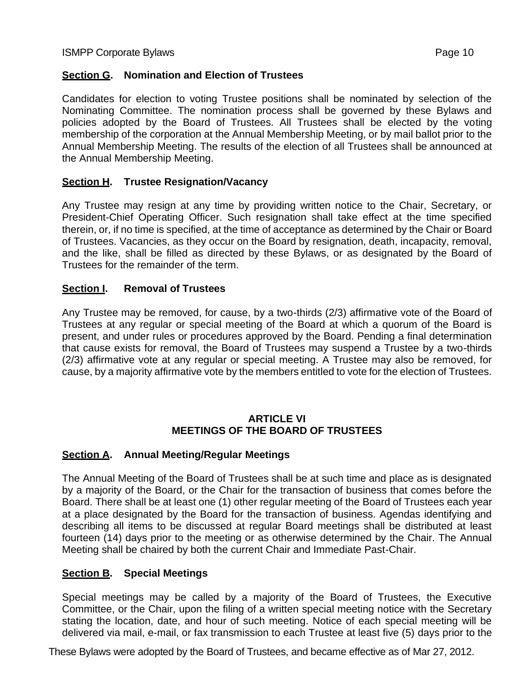## **Section G. Nomination and Election of Trustees**

Candidates for election to voting Trustee positions shall be nominated by selection of the Nominating Committee. The nomination process shall be governed by these Bylaws and policies adopted by the Board of Trustees. All Trustees shall be elected by the voting membership of the corporation at the Annual Membership Meeting, or by mail ballot prior to the Annual Membership Meeting. The results of the election of all Trustees shall be announced at the Annual Membership Meeting.

## **Section H. Trustee Resignation/Vacancy**

Any Trustee may resign at any time by providing written notice to the Chair, Secretary, or President-Chief Operating Officer. Such resignation shall take effect at the time specified therein, or, if no time is specified, at the time of acceptance as determined by the Chair or Board of Trustees. Vacancies, as they occur on the Board by resignation, death, incapacity, removal, and the like, shall be filled as directed by these Bylaws, or as designated by the Board of Trustees for the remainder of the term.

## **Section I. Removal of Trustees**

Any Trustee may be removed, for cause, by a two-thirds (2/3) affirmative vote of the Board of Trustees at any regular or special meeting of the Board at which a quorum of the Board is present, and under rules or procedures approved by the Board. Pending a final determination that cause exists for removal, the Board of Trustees may suspend a Trustee by a two-thirds (2/3) affirmative vote at any regular or special meeting. A Trustee may also be removed, for cause, by a majority affirmative vote by the members entitled to vote for the election of Trustees.

## **ARTICLE VI MEETINGS OF THE BOARD OF TRUSTEES**

#### **Section A. Annual Meeting/Regular Meetings**

The Annual Meeting of the Board of Trustees shall be at such time and place as is designated by a majority of the Board, or the Chair for the transaction of business that comes before the Board. There shall be at least one (1) other regular meeting of the Board of Trustees each year at a place designated by the Board for the transaction of business. Agendas identifying and describing all items to be discussed at regular Board meetings shall be distributed at least fourteen (14) days prior to the meeting or as otherwise determined by the Chair. The Annual Meeting shall be chaired by both the current Chair and Immediate Past-Chair.

#### **Section B. Special Meetings**

Special meetings may be called by a majority of the Board of Trustees, the Executive Committee, or the Chair, upon the filing of a written special meeting notice with the Secretary stating the location, date, and hour of such meeting. Notice of each special meeting will be delivered via mail, e-mail, or fax transmission to each Trustee at least five (5) days prior to the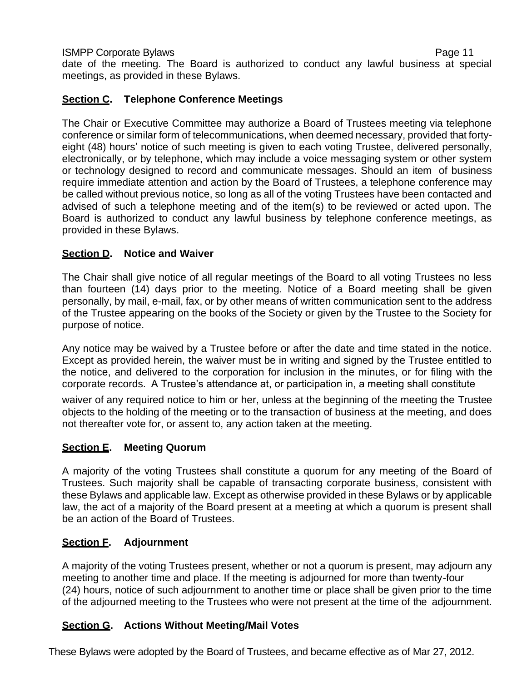date of the meeting. The Board is authorized to conduct any lawful business at special meetings, as provided in these Bylaws.

# **Section C. Telephone Conference Meetings**

The Chair or Executive Committee may authorize a Board of Trustees meeting via telephone conference or similar form of telecommunications, when deemed necessary, provided that fortyeight (48) hours' notice of such meeting is given to each voting Trustee, delivered personally, electronically, or by telephone, which may include a voice messaging system or other system or technology designed to record and communicate messages. Should an item of business require immediate attention and action by the Board of Trustees, a telephone conference may be called without previous notice, so long as all of the voting Trustees have been contacted and advised of such a telephone meeting and of the item(s) to be reviewed or acted upon. The Board is authorized to conduct any lawful business by telephone conference meetings, as provided in these Bylaws.

# **Section D. Notice and Waiver**

The Chair shall give notice of all regular meetings of the Board to all voting Trustees no less than fourteen (14) days prior to the meeting. Notice of a Board meeting shall be given personally, by mail, e-mail, fax, or by other means of written communication sent to the address of the Trustee appearing on the books of the Society or given by the Trustee to the Society for purpose of notice.

Any notice may be waived by a Trustee before or after the date and time stated in the notice. Except as provided herein, the waiver must be in writing and signed by the Trustee entitled to the notice, and delivered to the corporation for inclusion in the minutes, or for filing with the corporate records. A Trustee's attendance at, or participation in, a meeting shall constitute

waiver of any required notice to him or her, unless at the beginning of the meeting the Trustee objects to the holding of the meeting or to the transaction of business at the meeting, and does not thereafter vote for, or assent to, any action taken at the meeting.

# **Section E. Meeting Quorum**

A majority of the voting Trustees shall constitute a quorum for any meeting of the Board of Trustees. Such majority shall be capable of transacting corporate business, consistent with these Bylaws and applicable law. Except as otherwise provided in these Bylaws or by applicable law, the act of a majority of the Board present at a meeting at which a quorum is present shall be an action of the Board of Trustees.

## **Section F. Adjournment**

A majority of the voting Trustees present, whether or not a quorum is present, may adjourn any meeting to another time and place. If the meeting is adjourned for more than twenty-four (24) hours, notice of such adjournment to another time or place shall be given prior to the time of the adjourned meeting to the Trustees who were not present at the time of the adjournment.

## **Section G. Actions Without Meeting/Mail Votes**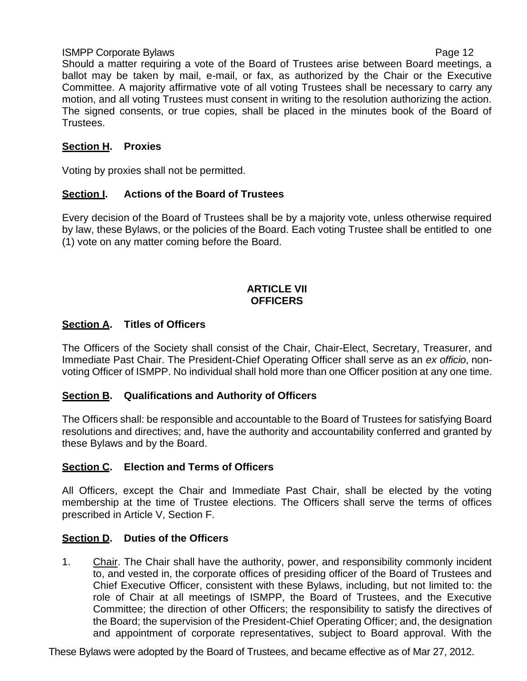ISMPP Corporate Bylaws Page 12 Should a matter requiring a vote of the Board of Trustees arise between Board meetings, a ballot may be taken by mail, e-mail, or fax, as authorized by the Chair or the Executive Committee. A majority affirmative vote of all voting Trustees shall be necessary to carry any motion, and all voting Trustees must consent in writing to the resolution authorizing the action. The signed consents, or true copies, shall be placed in the minutes book of the Board of Trustees.

# **Section H. Proxies**

Voting by proxies shall not be permitted.

# **Section I. Actions of the Board of Trustees**

Every decision of the Board of Trustees shall be by a majority vote, unless otherwise required by law, these Bylaws, or the policies of the Board. Each voting Trustee shall be entitled to one (1) vote on any matter coming before the Board.

## **ARTICLE VII OFFICERS**

# **Section A. Titles of Officers**

The Officers of the Society shall consist of the Chair, Chair-Elect, Secretary, Treasurer, and Immediate Past Chair. The President-Chief Operating Officer shall serve as an *ex officio*, nonvoting Officer of ISMPP. No individual shall hold more than one Officer position at any one time.

# **Section B. Qualifications and Authority of Officers**

The Officers shall: be responsible and accountable to the Board of Trustees for satisfying Board resolutions and directives; and, have the authority and accountability conferred and granted by these Bylaws and by the Board.

# **Section C. Election and Terms of Officers**

All Officers, except the Chair and Immediate Past Chair, shall be elected by the voting membership at the time of Trustee elections. The Officers shall serve the terms of offices prescribed in Article V, Section F.

# **Section D. Duties of the Officers**

1. Chair. The Chair shall have the authority, power, and responsibility commonly incident to, and vested in, the corporate offices of presiding officer of the Board of Trustees and Chief Executive Officer, consistent with these Bylaws, including, but not limited to: the role of Chair at all meetings of ISMPP, the Board of Trustees, and the Executive Committee; the direction of other Officers; the responsibility to satisfy the directives of the Board; the supervision of the President-Chief Operating Officer; and, the designation and appointment of corporate representatives, subject to Board approval. With the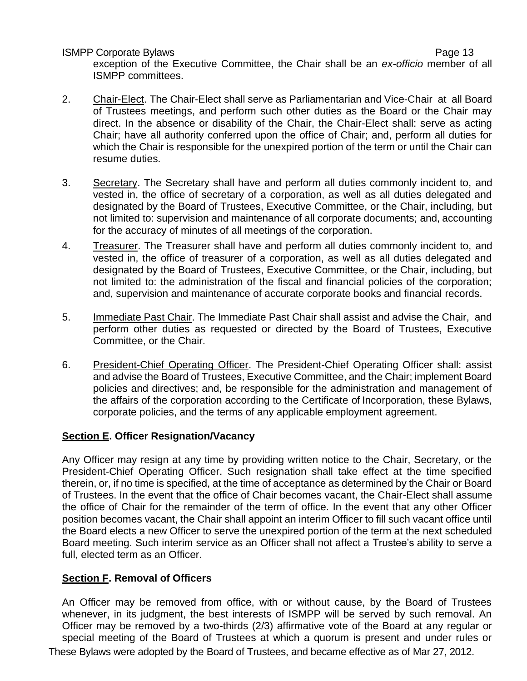exception of the Executive Committee, the Chair shall be an *ex-officio* member of all ISMPP committees.

- 2. Chair-Elect. The Chair-Elect shall serve as Parliamentarian and Vice-Chair at all Board of Trustees meetings, and perform such other duties as the Board or the Chair may direct. In the absence or disability of the Chair, the Chair-Elect shall: serve as acting Chair; have all authority conferred upon the office of Chair; and, perform all duties for which the Chair is responsible for the unexpired portion of the term or until the Chair can resume duties.
- 3. Secretary. The Secretary shall have and perform all duties commonly incident to, and vested in, the office of secretary of a corporation, as well as all duties delegated and designated by the Board of Trustees, Executive Committee, or the Chair, including, but not limited to: supervision and maintenance of all corporate documents; and, accounting for the accuracy of minutes of all meetings of the corporation.
- 4. Treasurer. The Treasurer shall have and perform all duties commonly incident to, and vested in, the office of treasurer of a corporation, as well as all duties delegated and designated by the Board of Trustees, Executive Committee, or the Chair, including, but not limited to: the administration of the fiscal and financial policies of the corporation; and, supervision and maintenance of accurate corporate books and financial records.
- 5. Immediate Past Chair. The Immediate Past Chair shall assist and advise the Chair, and perform other duties as requested or directed by the Board of Trustees, Executive Committee, or the Chair.
- 6. President-Chief Operating Officer. The President-Chief Operating Officer shall: assist and advise the Board of Trustees, Executive Committee, and the Chair; implement Board policies and directives; and, be responsible for the administration and management of the affairs of the corporation according to the Certificate of Incorporation, these Bylaws, corporate policies, and the terms of any applicable employment agreement.

## **Section E. Officer Resignation/Vacancy**

Any Officer may resign at any time by providing written notice to the Chair, Secretary, or the President-Chief Operating Officer. Such resignation shall take effect at the time specified therein, or, if no time is specified, at the time of acceptance as determined by the Chair or Board of Trustees. In the event that the office of Chair becomes vacant, the Chair-Elect shall assume the office of Chair for the remainder of the term of office. In the event that any other Officer position becomes vacant, the Chair shall appoint an interim Officer to fill such vacant office until the Board elects a new Officer to serve the unexpired portion of the term at the next scheduled Board meeting. Such interim service as an Officer shall not affect a Trustee's ability to serve a full, elected term as an Officer.

# **Section F. Removal of Officers**

An Officer may be removed from office, with or without cause, by the Board of Trustees whenever, in its judgment, the best interests of ISMPP will be served by such removal. An Officer may be removed by a two-thirds (2/3) affirmative vote of the Board at any regular or special meeting of the Board of Trustees at which a quorum is present and under rules or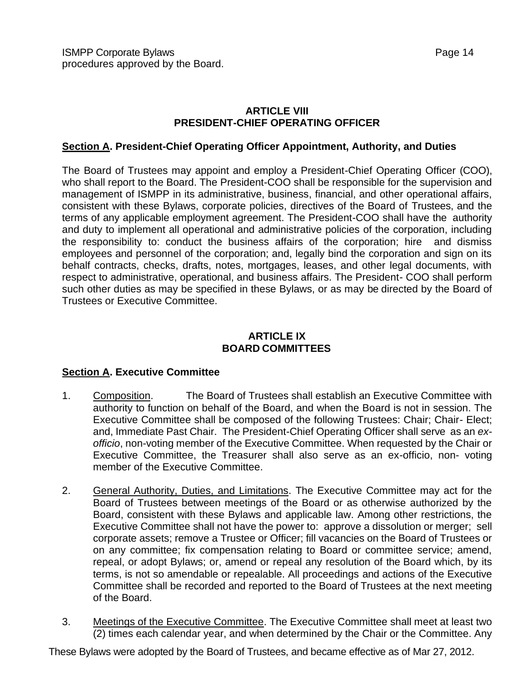## **ARTICLE VIII PRESIDENT-CHIEF OPERATING OFFICER**

## **Section A. President-Chief Operating Officer Appointment, Authority, and Duties**

The Board of Trustees may appoint and employ a President-Chief Operating Officer (COO), who shall report to the Board. The President-COO shall be responsible for the supervision and management of ISMPP in its administrative, business, financial, and other operational affairs, consistent with these Bylaws, corporate policies, directives of the Board of Trustees, and the terms of any applicable employment agreement. The President-COO shall have the authority and duty to implement all operational and administrative policies of the corporation, including the responsibility to: conduct the business affairs of the corporation; hire and dismiss employees and personnel of the corporation; and, legally bind the corporation and sign on its behalf contracts, checks, drafts, notes, mortgages, leases, and other legal documents, with respect to administrative, operational, and business affairs. The President- COO shall perform such other duties as may be specified in these Bylaws, or as may be directed by the Board of Trustees or Executive Committee.

## **ARTICLE IX BOARD COMMITTEES**

## **Section A. Executive Committee**

- 1. Composition. The Board of Trustees shall establish an Executive Committee with authority to function on behalf of the Board, and when the Board is not in session. The Executive Committee shall be composed of the following Trustees: Chair; Chair- Elect; and, Immediate Past Chair. The President-Chief Operating Officer shall serve as an *exofficio*, non-voting member of the Executive Committee. When requested by the Chair or Executive Committee, the Treasurer shall also serve as an ex-officio, non- voting member of the Executive Committee.
- 2. General Authority, Duties, and Limitations. The Executive Committee may act for the Board of Trustees between meetings of the Board or as otherwise authorized by the Board, consistent with these Bylaws and applicable law. Among other restrictions, the Executive Committee shall not have the power to: approve a dissolution or merger; sell corporate assets; remove a Trustee or Officer; fill vacancies on the Board of Trustees or on any committee; fix compensation relating to Board or committee service; amend, repeal, or adopt Bylaws; or, amend or repeal any resolution of the Board which, by its terms, is not so amendable or repealable. All proceedings and actions of the Executive Committee shall be recorded and reported to the Board of Trustees at the next meeting of the Board.
- 3. Meetings of the Executive Committee. The Executive Committee shall meet at least two (2) times each calendar year, and when determined by the Chair or the Committee. Any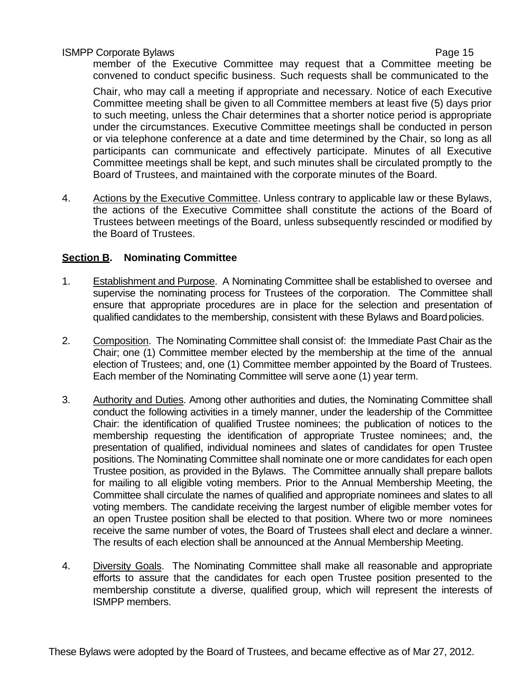member of the Executive Committee may request that a Committee meeting be convened to conduct specific business. Such requests shall be communicated to the

Chair, who may call a meeting if appropriate and necessary. Notice of each Executive Committee meeting shall be given to all Committee members at least five (5) days prior to such meeting, unless the Chair determines that a shorter notice period is appropriate under the circumstances. Executive Committee meetings shall be conducted in person or via telephone conference at a date and time determined by the Chair, so long as all participants can communicate and effectively participate. Minutes of all Executive Committee meetings shall be kept, and such minutes shall be circulated promptly to the Board of Trustees, and maintained with the corporate minutes of the Board.

4. Actions by the Executive Committee. Unless contrary to applicable law or these Bylaws, the actions of the Executive Committee shall constitute the actions of the Board of Trustees between meetings of the Board, unless subsequently rescinded or modified by the Board of Trustees.

## **Section B. Nominating Committee**

- 1. Establishment and Purpose. A Nominating Committee shall be established to oversee and supervise the nominating process for Trustees of the corporation. The Committee shall ensure that appropriate procedures are in place for the selection and presentation of qualified candidates to the membership, consistent with these Bylaws and Boardpolicies.
- 2. Composition. The Nominating Committee shall consist of: the Immediate Past Chair as the Chair; one (1) Committee member elected by the membership at the time of the annual election of Trustees; and, one (1) Committee member appointed by the Board of Trustees. Each member of the Nominating Committee will serve aone (1) year term.
- 3. Authority and Duties. Among other authorities and duties, the Nominating Committee shall conduct the following activities in a timely manner, under the leadership of the Committee Chair: the identification of qualified Trustee nominees; the publication of notices to the membership requesting the identification of appropriate Trustee nominees; and, the presentation of qualified, individual nominees and slates of candidates for open Trustee positions. The Nominating Committee shall nominate one or more candidates for each open Trustee position, as provided in the Bylaws. The Committee annually shall prepare ballots for mailing to all eligible voting members. Prior to the Annual Membership Meeting, the Committee shall circulate the names of qualified and appropriate nominees and slates to all voting members. The candidate receiving the largest number of eligible member votes for an open Trustee position shall be elected to that position. Where two or more nominees receive the same number of votes, the Board of Trustees shall elect and declare a winner. The results of each election shall be announced at the Annual Membership Meeting.
- 4. Diversity Goals. The Nominating Committee shall make all reasonable and appropriate efforts to assure that the candidates for each open Trustee position presented to the membership constitute a diverse, qualified group, which will represent the interests of ISMPP members.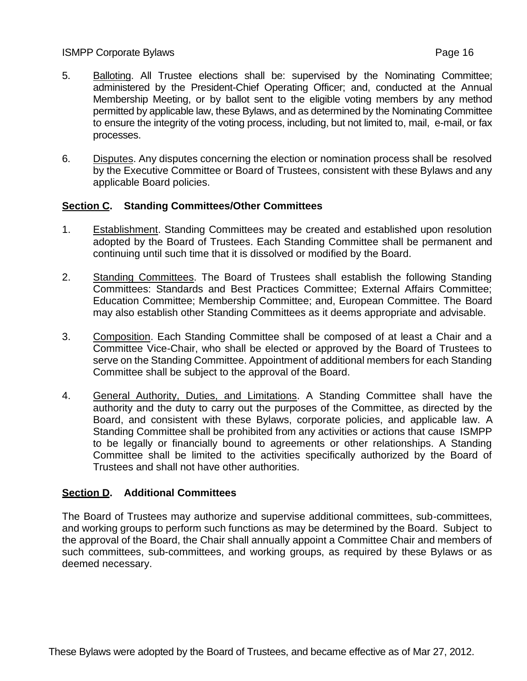- 5. Balloting. All Trustee elections shall be: supervised by the Nominating Committee; administered by the President-Chief Operating Officer; and, conducted at the Annual Membership Meeting, or by ballot sent to the eligible voting members by any method permitted by applicable law, these Bylaws, and as determined by the Nominating Committee to ensure the integrity of the voting process, including, but not limited to, mail, e-mail, or fax processes.
- 6. Disputes. Any disputes concerning the election or nomination process shall be resolved by the Executive Committee or Board of Trustees, consistent with these Bylaws and any applicable Board policies.

## **Section C. Standing Committees/Other Committees**

- 1. Establishment. Standing Committees may be created and established upon resolution adopted by the Board of Trustees. Each Standing Committee shall be permanent and continuing until such time that it is dissolved or modified by the Board.
- 2. Standing Committees. The Board of Trustees shall establish the following Standing Committees: Standards and Best Practices Committee; External Affairs Committee; Education Committee; Membership Committee; and, European Committee. The Board may also establish other Standing Committees as it deems appropriate and advisable.
- 3. Composition. Each Standing Committee shall be composed of at least a Chair and a Committee Vice-Chair, who shall be elected or approved by the Board of Trustees to serve on the Standing Committee. Appointment of additional members for each Standing Committee shall be subject to the approval of the Board.
- 4. General Authority, Duties, and Limitations. A Standing Committee shall have the authority and the duty to carry out the purposes of the Committee, as directed by the Board, and consistent with these Bylaws, corporate policies, and applicable law. A Standing Committee shall be prohibited from any activities or actions that cause ISMPP to be legally or financially bound to agreements or other relationships. A Standing Committee shall be limited to the activities specifically authorized by the Board of Trustees and shall not have other authorities.

## **Section D. Additional Committees**

The Board of Trustees may authorize and supervise additional committees, sub-committees, and working groups to perform such functions as may be determined by the Board. Subject to the approval of the Board, the Chair shall annually appoint a Committee Chair and members of such committees, sub-committees, and working groups, as required by these Bylaws or as deemed necessary.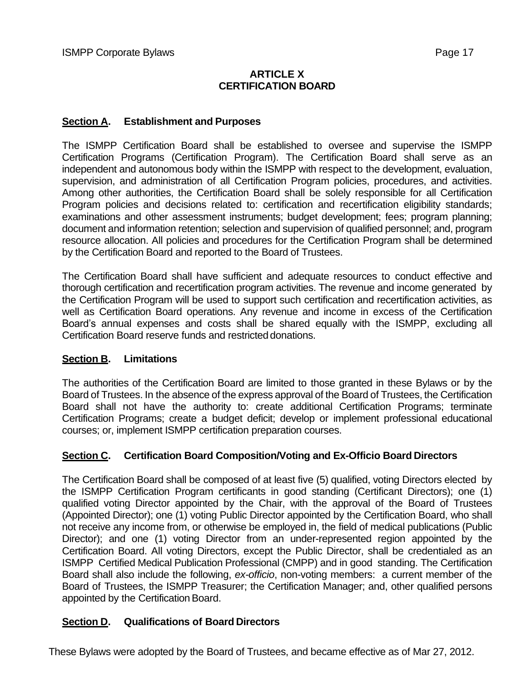## **ARTICLE X CERTIFICATION BOARD**

#### **Section A. Establishment and Purposes**

The ISMPP Certification Board shall be established to oversee and supervise the ISMPP Certification Programs (Certification Program). The Certification Board shall serve as an independent and autonomous body within the ISMPP with respect to the development, evaluation, supervision, and administration of all Certification Program policies, procedures, and activities. Among other authorities, the Certification Board shall be solely responsible for all Certification Program policies and decisions related to: certification and recertification eligibility standards; examinations and other assessment instruments; budget development; fees; program planning; document and information retention; selection and supervision of qualified personnel; and, program resource allocation. All policies and procedures for the Certification Program shall be determined by the Certification Board and reported to the Board of Trustees.

The Certification Board shall have sufficient and adequate resources to conduct effective and thorough certification and recertification program activities. The revenue and income generated by the Certification Program will be used to support such certification and recertification activities, as well as Certification Board operations. Any revenue and income in excess of the Certification Board's annual expenses and costs shall be shared equally with the ISMPP, excluding all Certification Board reserve funds and restricted donations.

#### **Section B. Limitations**

The authorities of the Certification Board are limited to those granted in these Bylaws or by the Board of Trustees. In the absence of the express approval of the Board of Trustees, the Certification Board shall not have the authority to: create additional Certification Programs; terminate Certification Programs; create a budget deficit; develop or implement professional educational courses; or, implement ISMPP certification preparation courses.

#### **Section C. Certification Board Composition/Voting and Ex-Officio Board Directors**

The Certification Board shall be composed of at least five (5) qualified, voting Directors elected by the ISMPP Certification Program certificants in good standing (Certificant Directors); one (1) qualified voting Director appointed by the Chair, with the approval of the Board of Trustees (Appointed Director); one (1) voting Public Director appointed by the Certification Board, who shall not receive any income from, or otherwise be employed in, the field of medical publications (Public Director); and one (1) voting Director from an under-represented region appointed by the Certification Board. All voting Directors, except the Public Director, shall be credentialed as an ISMPP Certified Medical Publication Professional (CMPP) and in good standing. The Certification Board shall also include the following, *ex-officio*, non-voting members: a current member of the Board of Trustees, the ISMPP Treasurer; the Certification Manager; and, other qualified persons appointed by the Certification Board.

## **Section D. Qualifications of Board Directors**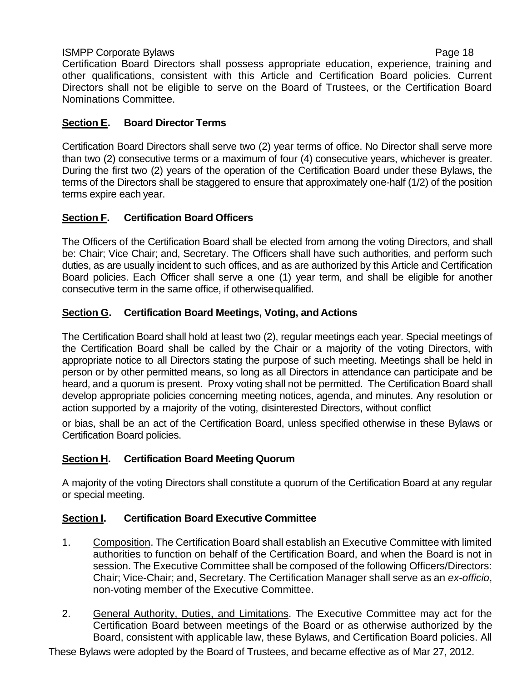Certification Board Directors shall possess appropriate education, experience, training and other qualifications, consistent with this Article and Certification Board policies. Current Directors shall not be eligible to serve on the Board of Trustees, or the Certification Board Nominations Committee.

## **Section E. Board Director Terms**

Certification Board Directors shall serve two (2) year terms of office. No Director shall serve more than two (2) consecutive terms or a maximum of four (4) consecutive years, whichever is greater. During the first two (2) years of the operation of the Certification Board under these Bylaws, the terms of the Directors shall be staggered to ensure that approximately one-half (1/2) of the position terms expire each year.

# **Section F. Certification Board Officers**

The Officers of the Certification Board shall be elected from among the voting Directors, and shall be: Chair; Vice Chair; and, Secretary. The Officers shall have such authorities, and perform such duties, as are usually incident to such offices, and as are authorized by this Article and Certification Board policies. Each Officer shall serve a one (1) year term, and shall be eligible for another consecutive term in the same office, if otherwisequalified.

# **Section G. Certification Board Meetings, Voting, and Actions**

The Certification Board shall hold at least two (2), regular meetings each year. Special meetings of the Certification Board shall be called by the Chair or a majority of the voting Directors, with appropriate notice to all Directors stating the purpose of such meeting. Meetings shall be held in person or by other permitted means, so long as all Directors in attendance can participate and be heard, and a quorum is present. Proxy voting shall not be permitted. The Certification Board shall develop appropriate policies concerning meeting notices, agenda, and minutes. Any resolution or action supported by a majority of the voting, disinterested Directors, without conflict

or bias, shall be an act of the Certification Board, unless specified otherwise in these Bylaws or Certification Board policies.

# **Section H. Certification Board Meeting Quorum**

A majority of the voting Directors shall constitute a quorum of the Certification Board at any regular or special meeting.

## **Section I. Certification Board Executive Committee**

- 1. Composition. The Certification Board shall establish an Executive Committee with limited authorities to function on behalf of the Certification Board, and when the Board is not in session. The Executive Committee shall be composed of the following Officers/Directors: Chair; Vice-Chair; and, Secretary. The Certification Manager shall serve as an *ex-officio*, non-voting member of the Executive Committee.
- 2. General Authority, Duties, and Limitations. The Executive Committee may act for the Certification Board between meetings of the Board or as otherwise authorized by the Board, consistent with applicable law, these Bylaws, and Certification Board policies. All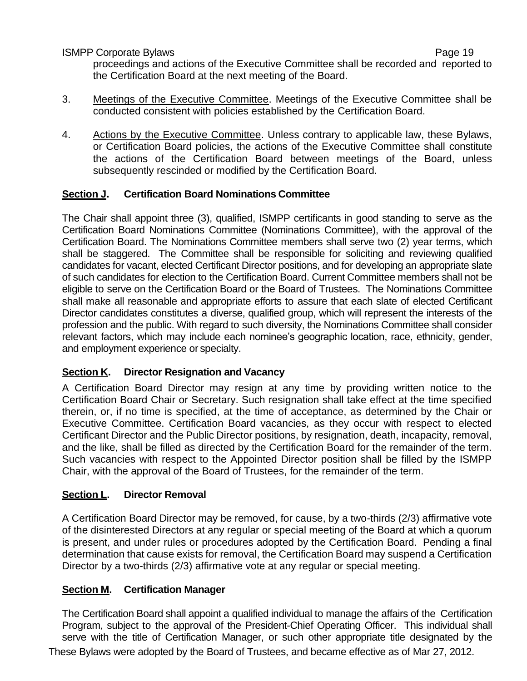proceedings and actions of the Executive Committee shall be recorded and reported to the Certification Board at the next meeting of the Board.

- 3. Meetings of the Executive Committee. Meetings of the Executive Committee shall be conducted consistent with policies established by the Certification Board.
- 4. Actions by the Executive Committee. Unless contrary to applicable law, these Bylaws, or Certification Board policies, the actions of the Executive Committee shall constitute the actions of the Certification Board between meetings of the Board, unless subsequently rescinded or modified by the Certification Board.

## **Section J. Certification Board Nominations Committee**

The Chair shall appoint three (3), qualified, ISMPP certificants in good standing to serve as the Certification Board Nominations Committee (Nominations Committee), with the approval of the Certification Board. The Nominations Committee members shall serve two (2) year terms, which shall be staggered. The Committee shall be responsible for soliciting and reviewing qualified candidates for vacant, elected Certificant Director positions, and for developing an appropriate slate of such candidates for election to the Certification Board. Current Committee members shall not be eligible to serve on the Certification Board or the Board of Trustees. The Nominations Committee shall make all reasonable and appropriate efforts to assure that each slate of elected Certificant Director candidates constitutes a diverse, qualified group, which will represent the interests of the profession and the public. With regard to such diversity, the Nominations Committee shall consider relevant factors, which may include each nominee's geographic location, race, ethnicity, gender, and employment experience or specialty.

## **Section K. Director Resignation and Vacancy**

A Certification Board Director may resign at any time by providing written notice to the Certification Board Chair or Secretary. Such resignation shall take effect at the time specified therein, or, if no time is specified, at the time of acceptance, as determined by the Chair or Executive Committee. Certification Board vacancies, as they occur with respect to elected Certificant Director and the Public Director positions, by resignation, death, incapacity, removal, and the like, shall be filled as directed by the Certification Board for the remainder of the term. Such vacancies with respect to the Appointed Director position shall be filled by the ISMPP Chair, with the approval of the Board of Trustees, for the remainder of the term.

#### **Section L. Director Removal**

A Certification Board Director may be removed, for cause, by a two-thirds (2/3) affirmative vote of the disinterested Directors at any regular or special meeting of the Board at which a quorum is present, and under rules or procedures adopted by the Certification Board. Pending a final determination that cause exists for removal, the Certification Board may suspend a Certification Director by a two-thirds (2/3) affirmative vote at any regular or special meeting.

#### **Section M. Certification Manager**

These Bylaws were adopted by the Board of Trustees, and became effective as of Mar 27, 2012. The Certification Board shall appoint a qualified individual to manage the affairs of the Certification Program, subject to the approval of the President-Chief Operating Officer. This individual shall serve with the title of Certification Manager, or such other appropriate title designated by the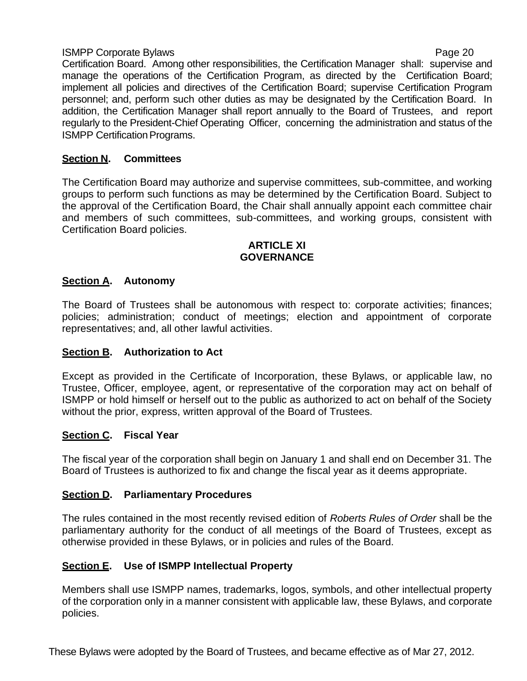Certification Board. Among other responsibilities, the Certification Manager shall: supervise and manage the operations of the Certification Program, as directed by the Certification Board; implement all policies and directives of the Certification Board; supervise Certification Program personnel; and, perform such other duties as may be designated by the Certification Board. In addition, the Certification Manager shall report annually to the Board of Trustees, and report regularly to the President-Chief Operating Officer, concerning the administration and status of the **ISMPP Certification Programs.** 

## **Section N. Committees**

The Certification Board may authorize and supervise committees, sub-committee, and working groups to perform such functions as may be determined by the Certification Board. Subject to the approval of the Certification Board, the Chair shall annually appoint each committee chair and members of such committees, sub-committees, and working groups, consistent with Certification Board policies.

#### **ARTICLE XI GOVERNANCE**

# **Section A. Autonomy**

The Board of Trustees shall be autonomous with respect to: corporate activities; finances; policies; administration; conduct of meetings; election and appointment of corporate representatives; and, all other lawful activities.

## **Section B. Authorization to Act**

Except as provided in the Certificate of Incorporation, these Bylaws, or applicable law, no Trustee, Officer, employee, agent, or representative of the corporation may act on behalf of ISMPP or hold himself or herself out to the public as authorized to act on behalf of the Society without the prior, express, written approval of the Board of Trustees.

## **Section C. Fiscal Year**

The fiscal year of the corporation shall begin on January 1 and shall end on December 31. The Board of Trustees is authorized to fix and change the fiscal year as it deems appropriate.

## **Section D. Parliamentary Procedures**

The rules contained in the most recently revised edition of *Roberts Rules of Order* shall be the parliamentary authority for the conduct of all meetings of the Board of Trustees, except as otherwise provided in these Bylaws, or in policies and rules of the Board.

# **Section E. Use of ISMPP Intellectual Property**

Members shall use ISMPP names, trademarks, logos, symbols, and other intellectual property of the corporation only in a manner consistent with applicable law, these Bylaws, and corporate policies.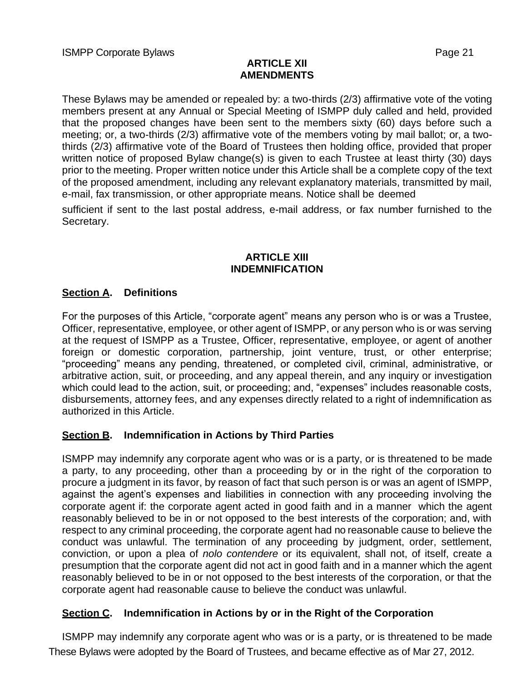#### **ARTICLE XII AMENDMENTS**

These Bylaws may be amended or repealed by: a two-thirds (2/3) affirmative vote of the voting members present at any Annual or Special Meeting of ISMPP duly called and held, provided that the proposed changes have been sent to the members sixty (60) days before such a meeting; or, a two-thirds (2/3) affirmative vote of the members voting by mail ballot; or, a twothirds (2/3) affirmative vote of the Board of Trustees then holding office, provided that proper written notice of proposed Bylaw change(s) is given to each Trustee at least thirty (30) days prior to the meeting. Proper written notice under this Article shall be a complete copy of the text of the proposed amendment, including any relevant explanatory materials, transmitted by mail, e-mail, fax transmission, or other appropriate means. Notice shall be deemed

sufficient if sent to the last postal address, e-mail address, or fax number furnished to the Secretary.

#### **ARTICLE XIII INDEMNIFICATION**

## **Section A. Definitions**

For the purposes of this Article, "corporate agent" means any person who is or was a Trustee, Officer, representative, employee, or other agent of ISMPP, or any person who is or was serving at the request of ISMPP as a Trustee, Officer, representative, employee, or agent of another foreign or domestic corporation, partnership, joint venture, trust, or other enterprise; "proceeding" means any pending, threatened, or completed civil, criminal, administrative, or arbitrative action, suit, or proceeding, and any appeal therein, and any inquiry or investigation which could lead to the action, suit, or proceeding; and, "expenses" includes reasonable costs, disbursements, attorney fees, and any expenses directly related to a right of indemnification as authorized in this Article.

## **Section B. Indemnification in Actions by Third Parties**

ISMPP may indemnify any corporate agent who was or is a party, or is threatened to be made a party, to any proceeding, other than a proceeding by or in the right of the corporation to procure a judgment in its favor, by reason of fact that such person is or was an agent of ISMPP, against the agent's expenses and liabilities in connection with any proceeding involving the corporate agent if: the corporate agent acted in good faith and in a manner which the agent reasonably believed to be in or not opposed to the best interests of the corporation; and, with respect to any criminal proceeding, the corporate agent had no reasonable cause to believe the conduct was unlawful. The termination of any proceeding by judgment, order, settlement, conviction, or upon a plea of *nolo contendere* or its equivalent, shall not, of itself, create a presumption that the corporate agent did not act in good faith and in a manner which the agent reasonably believed to be in or not opposed to the best interests of the corporation, or that the corporate agent had reasonable cause to believe the conduct was unlawful.

# **Section C. Indemnification in Actions by or in the Right of the Corporation**

These Bylaws were adopted by the Board of Trustees, and became effective as of Mar 27, 2012. ISMPP may indemnify any corporate agent who was or is a party, or is threatened to be made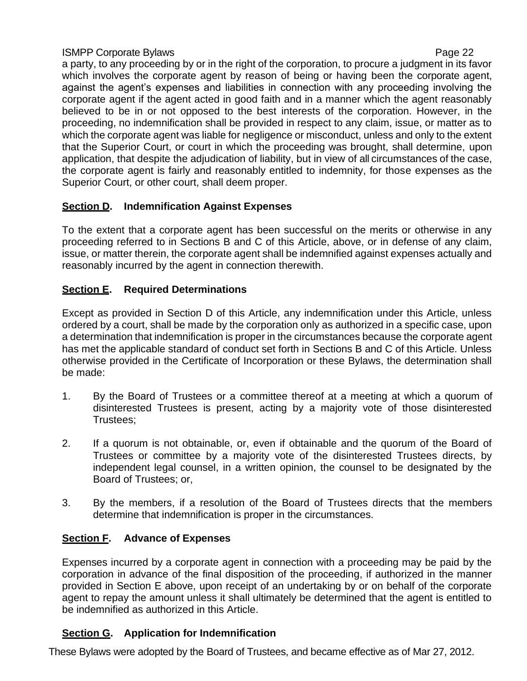a party, to any proceeding by or in the right of the corporation, to procure a judgment in its favor which involves the corporate agent by reason of being or having been the corporate agent, against the agent's expenses and liabilities in connection with any proceeding involving the corporate agent if the agent acted in good faith and in a manner which the agent reasonably believed to be in or not opposed to the best interests of the corporation. However, in the proceeding, no indemnification shall be provided in respect to any claim, issue, or matter as to which the corporate agent was liable for negligence or misconduct, unless and only to the extent that the Superior Court, or court in which the proceeding was brought, shall determine, upon application, that despite the adjudication of liability, but in view of all circumstances of the case, the corporate agent is fairly and reasonably entitled to indemnity, for those expenses as the Superior Court, or other court, shall deem proper.

# **Section D. Indemnification Against Expenses**

To the extent that a corporate agent has been successful on the merits or otherwise in any proceeding referred to in Sections B and C of this Article, above, or in defense of any claim, issue, or matter therein, the corporate agent shall be indemnified against expenses actually and reasonably incurred by the agent in connection therewith.

# **Section E. Required Determinations**

Except as provided in Section D of this Article, any indemnification under this Article, unless ordered by a court, shall be made by the corporation only as authorized in a specific case, upon a determination that indemnification is proper in the circumstances because the corporate agent has met the applicable standard of conduct set forth in Sections B and C of this Article. Unless otherwise provided in the Certificate of Incorporation or these Bylaws, the determination shall be made:

- 1. By the Board of Trustees or a committee thereof at a meeting at which a quorum of disinterested Trustees is present, acting by a majority vote of those disinterested Trustees;
- 2. If a quorum is not obtainable, or, even if obtainable and the quorum of the Board of Trustees or committee by a majority vote of the disinterested Trustees directs, by independent legal counsel, in a written opinion, the counsel to be designated by the Board of Trustees; or,
- 3. By the members, if a resolution of the Board of Trustees directs that the members determine that indemnification is proper in the circumstances.

# **Section F. Advance of Expenses**

Expenses incurred by a corporate agent in connection with a proceeding may be paid by the corporation in advance of the final disposition of the proceeding, if authorized in the manner provided in Section E above, upon receipt of an undertaking by or on behalf of the corporate agent to repay the amount unless it shall ultimately be determined that the agent is entitled to be indemnified as authorized in this Article.

# **Section G. Application for Indemnification**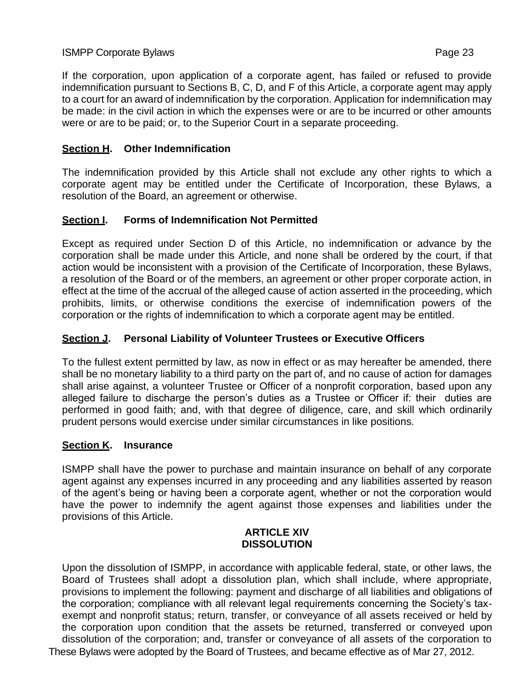If the corporation, upon application of a corporate agent, has failed or refused to provide indemnification pursuant to Sections B, C, D, and F of this Article, a corporate agent may apply to a court for an award of indemnification by the corporation. Application for indemnification may be made: in the civil action in which the expenses were or are to be incurred or other amounts were or are to be paid; or, to the Superior Court in a separate proceeding.

## **Section H. Other Indemnification**

The indemnification provided by this Article shall not exclude any other rights to which a corporate agent may be entitled under the Certificate of Incorporation, these Bylaws, a resolution of the Board, an agreement or otherwise.

## **Section I. Forms of Indemnification Not Permitted**

Except as required under Section D of this Article, no indemnification or advance by the corporation shall be made under this Article, and none shall be ordered by the court, if that action would be inconsistent with a provision of the Certificate of Incorporation, these Bylaws, a resolution of the Board or of the members, an agreement or other proper corporate action, in effect at the time of the accrual of the alleged cause of action asserted in the proceeding, which prohibits, limits, or otherwise conditions the exercise of indemnification powers of the corporation or the rights of indemnification to which a corporate agent may be entitled.

## **Section J. Personal Liability of Volunteer Trustees or Executive Officers**

To the fullest extent permitted by law, as now in effect or as may hereafter be amended, there shall be no monetary liability to a third party on the part of, and no cause of action for damages shall arise against, a volunteer Trustee or Officer of a nonprofit corporation, based upon any alleged failure to discharge the person's duties as a Trustee or Officer if: their duties are performed in good faith; and, with that degree of diligence, care, and skill which ordinarily prudent persons would exercise under similar circumstances in like positions.

## **Section K. Insurance**

ISMPP shall have the power to purchase and maintain insurance on behalf of any corporate agent against any expenses incurred in any proceeding and any liabilities asserted by reason of the agent's being or having been a corporate agent, whether or not the corporation would have the power to indemnify the agent against those expenses and liabilities under the provisions of this Article.

#### **ARTICLE XIV DISSOLUTION**

These Bylaws were adopted by the Board of Trustees, and became effective as of Mar 27, 2012. Upon the dissolution of ISMPP, in accordance with applicable federal, state, or other laws, the Board of Trustees shall adopt a dissolution plan, which shall include, where appropriate, provisions to implement the following: payment and discharge of all liabilities and obligations of the corporation; compliance with all relevant legal requirements concerning the Society's taxexempt and nonprofit status; return, transfer, or conveyance of all assets received or held by the corporation upon condition that the assets be returned, transferred or conveyed upon dissolution of the corporation; and, transfer or conveyance of all assets of the corporation to